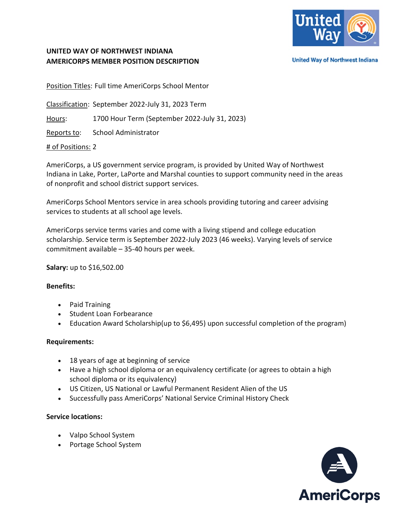

## **UNITED WAY OF NORTHWEST INDIANA AMERICORPS MEMBER POSITION DESCRIPTION**

**United Way of Northwest Indiana** 

Position Titles: Full time AmeriCorps School Mentor

Classification: September 2022-July 31, 2023 Term

Hours: 1700 Hour Term (September 2022-July 31, 2023)

Reports to: School Administrator

#### # of Positions: 2

AmeriCorps, a US government service program, is provided by United Way of Northwest Indiana in Lake, Porter, LaPorte and Marshal counties to support community need in the areas of nonprofit and school district support services.

AmeriCorps School Mentors service in area schools providing tutoring and career advising services to students at all school age levels.

AmeriCorps service terms varies and come with a living stipend and college education scholarship. Service term is September 2022-July 2023 (46 weeks). Varying levels of service commitment available – 35-40 hours per week.

**Salary:** up to \$16,502.00

#### **Benefits:**

- Paid Training
- Student Loan Forbearance
- Education Award Scholarship(up to \$6,495) upon successful completion of the program)

#### **Requirements:**

- 18 years of age at beginning of service
- Have a high school diploma or an equivalency certificate (or agrees to obtain a high school diploma or its equivalency)
- US Citizen, US National or Lawful Permanent Resident Alien of the US
- Successfully pass AmeriCorps' National Service Criminal History Check

#### **Service locations:**

- Valpo School System
- Portage School System